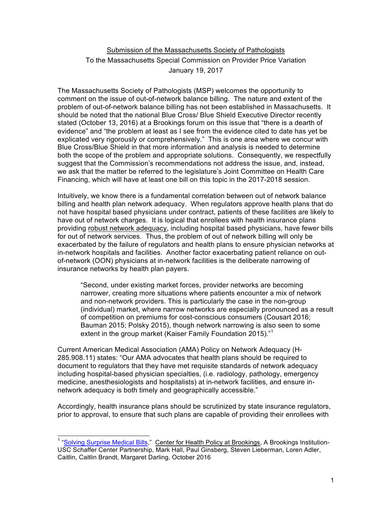## Submission of the Massachusetts Society of Pathologists To the Massachusetts Special Commission on Provider Price Variation January 19, 2017

The Massachusetts Society of Pathologists (MSP) welcomes the opportunity to comment on the issue of out-of-network balance billing. The nature and extent of the problem of out-of-network balance billing has not been established in Massachusetts. It should be noted that the national Blue Cross/ Blue Shield Executive Director recently stated (October 13, 2016) at a Brookings forum on this issue that "there is a dearth of evidence" and "the problem at least as I see from the evidence cited to date has yet be explicated very rigorously or comprehensively." This is one area where we concur with Blue Cross/Blue Shield in that more information and analysis is needed to determine both the scope of the problem and appropriate solutions. Consequently, we respectfully suggest that the Commission's recommendations not address the issue, and, instead, we ask that the matter be referred to the legislature's Joint Committee on Health Care Financing, which will have at least one bill on this topic in the 2017-2018 session.

Intuitively, we know there is a fundamental correlation between out of network balance billing and health plan network adequacy. When regulators approve health plans that do not have hospital based physicians under contract, patients of these facilities are likely to have out of network charges. It is logical that enrollees with health insurance plans providing robust network adequacy, including hospital based physicians, have fewer bills for out of network services. Thus, the problem of out of network billing will only be exacerbated by the failure of regulators and health plans to ensure physician networks at in-network hospitals and facilities. Another factor exacerbating patient reliance on outof-network (OON) physicians at in-network facilities is the deliberate narrowing of insurance networks by health plan payers.

"Second, under existing market forces, provider networks are becoming narrower, creating more situations where patients encounter a mix of network and non-network providers. This is particularly the case in the non-group (individual) market, where narrow networks are especially pronounced as a result of competition on premiums for cost-conscious consumers (Cousart 2016; Bauman 2015; Polsky 2015), though network narrowing is also seen to some extent in the group market (Kaiser Family Foundation 2015)."<sup>1</sup>

Current American Medical Association (AMA) Policy on Network Adequacy (H-285.908.11) states: "Our AMA advocates that health plans should be required to document to regulators that they have met requisite standards of network adequacy including hospital-based physician specialties, (i.e. radiology, pathology, emergency medicine, anesthesiologists and hospitalists) at in-network facilities, and ensure innetwork adequacy is both timely and geographically accessible."

Accordingly, health insurance plans should be scrutinized by state insurance regulators, prior to approval, to ensure that such plans are capable of providing their enrollees with

<sup>&</sup>lt;sup>1</sup> "Solving Surprise Medical Bills," Center for Health Policy at Brookings, A Brookings Institution-USC Schaffer Center Partnership, Mark Hall, Paul Ginsberg, Steven Lieberman, Loren Adler, Caitlin, Caitlin Brandt, Margaret Darling, October 2016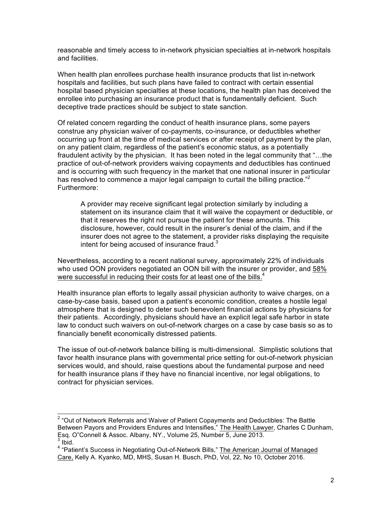reasonable and timely access to in-network physician specialties at in-network hospitals and facilities.

When health plan enrollees purchase health insurance products that list in-network hospitals and facilities, but such plans have failed to contract with certain essential hospital based physician specialties at these locations, the health plan has deceived the enrollee into purchasing an insurance product that is fundamentally deficient. Such deceptive trade practices should be subject to state sanction.

Of related concern regarding the conduct of health insurance plans, some payers construe any physician waiver of co-payments, co-insurance, or deductibles whether occurring up front at the time of medical services or after receipt of payment by the plan, on any patient claim, regardless of the patient's economic status, as a potentially fraudulent activity by the physician. It has been noted in the legal community that "…the practice of out-of-network providers waiving copayments and deductibles has continued and is occurring with such frequency in the market that one national insurer in particular has resolved to commence a major legal campaign to curtail the billing practice."<sup>2</sup> Furthermore:

A provider may receive significant legal protection similarly by including a statement on its insurance claim that it will waive the copayment or deductible, or that it reserves the right not pursue the patient for these amounts. This disclosure, however, could result in the insurer's denial of the claim, and if the insurer does not agree to the statement, a provider risks displaying the requisite intent for being accused of insurance fraud. $3$ 

Nevertheless, according to a recent national survey, approximately 22% of individuals who used OON providers negotiated an OON bill with the insurer or provider, and 58% were successful in reducing their costs for at least one of the bills. $4$ 

Health insurance plan efforts to legally assail physician authority to waive charges, on a case-by-case basis, based upon a patient's economic condition, creates a hostile legal atmosphere that is designed to deter such benevolent financial actions by physicians for their patients. Accordingly, physicians should have an explicit legal safe harbor in state law to conduct such waivers on out-of-network charges on a case by case basis so as to financially benefit economically distressed patients.

The issue of out-of-network balance billing is multi-dimensional. Simplistic solutions that favor health insurance plans with governmental price setting for out-of-network physician services would, and should, raise questions about the fundamental purpose and need for health insurance plans if they have no financial incentive, nor legal obligations, to contract for physician services.

<sup>&</sup>lt;sup>2</sup> "Out of Network Referrals and Waiver of Patient Copayments and Deductibles: The Battle Between Payors and Providers Endures and Intensifies," The Health Lawyer, Charles C Dunham, Esq. O"Connell & Assoc. Albany, NY., Volume 25, Number 5, June 2013. <sup>3</sup> Ibid.

<sup>&</sup>lt;sup>4</sup> "Patient's Success in Negotiating Out-of-Network Bills," The American Journal of Managed Care, Kelly A. Kyanko, MD, MHS, Susan H. Busch, PhD, Vol, 22, No 10, October 2016.